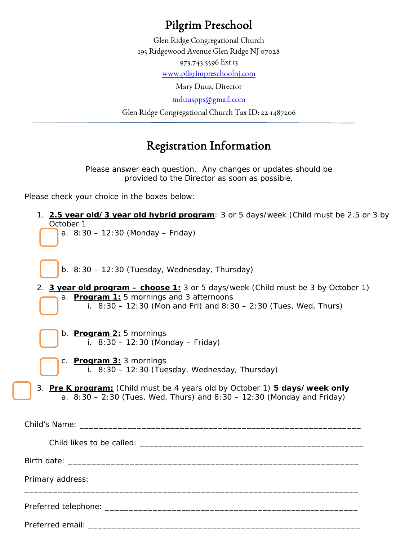## Pilgrim Preschool

Glen Ridge Congregational Church 195 Ridgewood Avenue Glen Ridge NJ 07028 973.743.5596 Ext 13

[www.pilgrimpreschoolnj.com](http://www.pilgrimpreschoolnj.com/)

Mary Duus, Director

[mduuspps@gmail.com](mailto:mduuspps@gmail.com)

Glen Ridge Congregational Church Tax ID: 22-1487206

## Registration Information

*Please answer each question. Any changes or updates should be provided to the Director as soon as possible.*

Please check your choice in the boxes below:

1. **2.5 year old/3 year old hybrid program**: 3 or 5 days/week (Child must be 2.5 or 3 by October 1

a.  $8:30 - 12:30$  (Monday – Friday)

b. 8:30 – 12:30 (Tuesday, Wednesday, Thursday)

- 2. **3 year old program – choose 1:** 3 or 5 days/week (Child must be 3 by October 1) a. **Program 1:** 5 mornings and 3 afternoons i.  $8:30 - 12:30$  (Mon and Fri) and  $8:30 - 2:30$  (Tues, Wed, Thurs)
	- b. **Program 2:** 5 mornings i.  $8:30 - 12:30$  (Monday – Friday)

Preferred email:

- c. **Program 3:** 3 mornings i.  $8:30 - 12:30$  (Tuesday, Wednesday, Thursday)
- 3. **Pre K program:** (Child must be 4 years old by October 1) *5 days/week only* a.  $8:30 - 2:30$  (Tues, Wed, Thurs) and  $8:30 - 12:30$  (Monday and Friday)

| Primary address: |  |  |  |
|------------------|--|--|--|
|                  |  |  |  |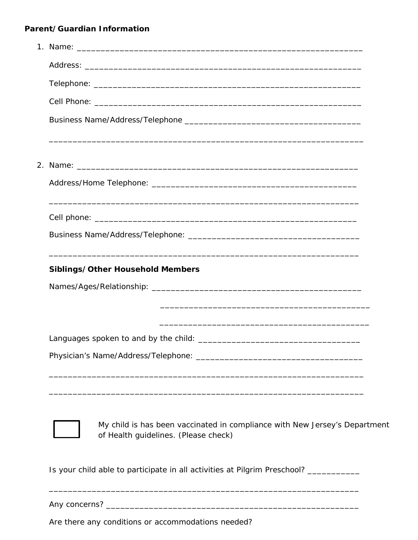## Parent/Guardian Information

|  | Siblings/Other Household Members                                                                                   |  |
|--|--------------------------------------------------------------------------------------------------------------------|--|
|  |                                                                                                                    |  |
|  |                                                                                                                    |  |
|  |                                                                                                                    |  |
|  |                                                                                                                    |  |
|  |                                                                                                                    |  |
|  |                                                                                                                    |  |
|  |                                                                                                                    |  |
|  |                                                                                                                    |  |
|  | My child is has been vaccinated in compliance with New Jersey's Department<br>of Health guidelines. (Please check) |  |
|  |                                                                                                                    |  |
|  | Is your child able to participate in all activities at Pilgrim Preschool? ____________                             |  |
|  |                                                                                                                    |  |

Are there any conditions or accommodations needed?